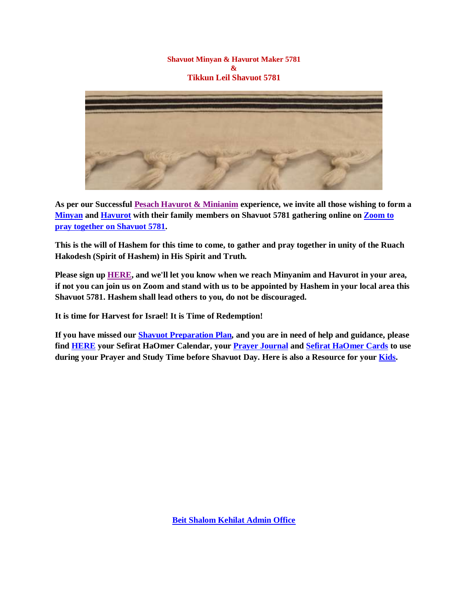## **Shavuot Minyan & Havurot Maker 5781 & Tikkun Leil Shavuot 5781**



**As per our Successful [Pesach Havurot & Minianim](https://villageofhopejusticeministry.files.wordpress.com/2021/02/havurot-minianym-5781-1.pdf) experience, we invite all those wishing to form a [Minyan](https://en.wikipedia.org/wiki/Minyan) and [Havurot](https://en.wikipedia.org/wiki/Chavurah) with their family members on Shavuot 5781 gathering online on [Zoom to](https://us02web.zoom.us/j/86755108867?pwd=YmJPZTNJdC80MUlNamUwMWlsMENMUT09)  [pray together on Shavuot 5781.](https://us02web.zoom.us/j/86755108867?pwd=YmJPZTNJdC80MUlNamUwMWlsMENMUT09)**

**This is the will of Hashem for this time to come, to gather and pray together in unity of the Ruach Hakodesh (Spirit of Hashem) in His Spirit and Truth.**

**Please sign up [HERE,](https://forms.gle/bCdsP8TkujRgtTCH6) and we'll let you know when we reach Minyanim and Havurot in your area, if not you can join us on Zoom and stand with us to be appointed by Hashem in your local area this Shavuot 5781. Hashem shall lead others to you, do not be discouraged.**

**It is time for Harvest for Israel! It is Time of Redemption!**

**If you have missed our Shavuot [Preparation Plan,](https://www.youtube.com/watch?v=mnanSF-zHZQ) and you are in need of help and guidance, please find [HERE](https://villageofhopejusticeministry.files.wordpress.com/2021/04/shavuot-bible-study-and-prayer-calendar-2021-2.pdf) your Sefirat HaOmer Calendar, your [Prayer Journal](https://villageofhopejusticeministry.files.wordpress.com/2021/04/prayer-journal-shavuot-2021.pdf) and [Sefirat HaOmer Cards](https://villageofhopejusticeministry.files.wordpress.com/2021/04/beit-shalom-messianic-congregation-counting-of-the-omer-cards-2021-1.pdf) to use during your Prayer and Study Time before Shavuot Day. Here is also a Resource for your [Kids.](https://villageofhopejusticeministry.files.wordpress.com/2021/04/beit-shalom-counting-of-the-omer-2021-for-kids-1-converted.pdf)**